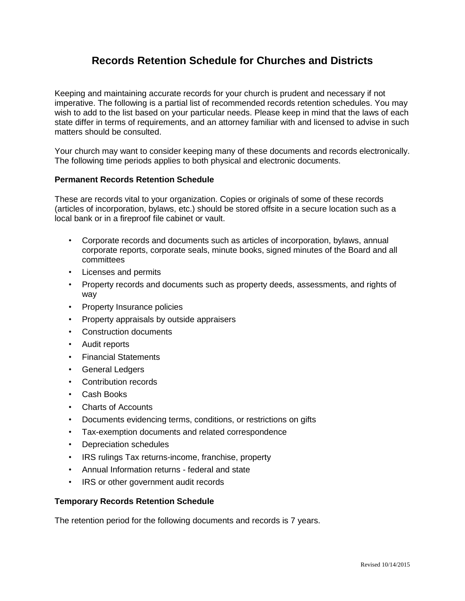## **Records Retention Schedule for Churches and Districts**

Keeping and maintaining accurate records for your church is prudent and necessary if not imperative. The following is a partial list of recommended records retention schedules. You may wish to add to the list based on your particular needs. Please keep in mind that the laws of each state differ in terms of requirements, and an attorney familiar with and licensed to advise in such matters should be consulted.

Your church may want to consider keeping many of these documents and records electronically. The following time periods applies to both physical and electronic documents.

## **Permanent Records Retention Schedule**

These are records vital to your organization. Copies or originals of some of these records (articles of incorporation, bylaws, etc.) should be stored offsite in a secure location such as a local bank or in a fireproof file cabinet or vault.

- Corporate records and documents such as articles of incorporation, bylaws, annual corporate reports, corporate seals, minute books, signed minutes of the Board and all committees
- Licenses and permits
- Property records and documents such as property deeds, assessments, and rights of way
- Property Insurance policies
- Property appraisals by outside appraisers
- Construction documents
- Audit reports
- Financial Statements
- General Ledgers
- Contribution records
- Cash Books
- Charts of Accounts
- Documents evidencing terms, conditions, or restrictions on gifts
- Tax-exemption documents and related correspondence
- Depreciation schedules
- IRS rulings Tax returns-income, franchise, property
- Annual Information returns federal and state
- IRS or other government audit records

## **Temporary Records Retention Schedule**

The retention period for the following documents and records is 7 years.